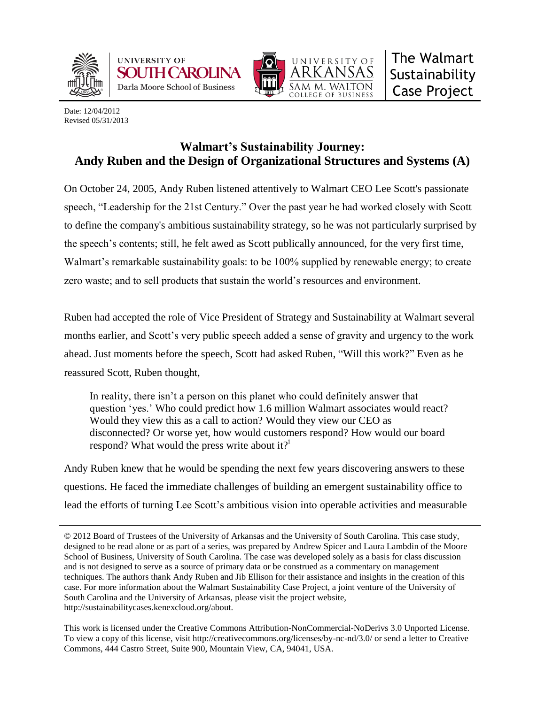





Date: 12/04/2012 Revised 05/31/2013

## **Walmart's Sustainability Journey: Andy Ruben and the Design of Organizational Structures and Systems (A)**

On October 24, 2005, Andy Ruben listened attentively to Walmart CEO Lee Scott's passionate speech, "Leadership for the 21st Century." Over the past year he had worked closely with Scott to define the company's ambitious sustainability strategy, so he was not particularly surprised by the speech's contents; still, he felt awed as Scott publically announced, for the very first time, Walmart's remarkable sustainability goals: to be 100% supplied by renewable energy; to create zero waste; and to sell products that sustain the world's resources and environment.

Ruben had accepted the role of Vice President of Strategy and Sustainability at Walmart several months earlier, and Scott's very public speech added a sense of gravity and urgency to the work ahead. Just moments before the speech, Scott had asked Ruben, "Will this work?" Even as he reassured Scott, Ruben thought,

In reality, there isn't a person on this planet who could definitely answer that question ‗yes.' Who could predict how 1.6 million Walmart associates would react? Would they view this as a call to action? Would they view our CEO as disconnected? Or worse yet, how would customers respond? How would our board respond? What would the press write about it? $i$ 

Andy Ruben knew that he would be spending the next few years discovering answers to these questions. He faced the immediate challenges of building an emergent sustainability office to lead the efforts of turning Lee Scott's ambitious vision into operable activities and measurable

<sup>© 2012</sup> Board of Trustees of the University of Arkansas and the University of South Carolina. This case study, designed to be read alone or as part of a series, was prepared by Andrew Spicer and Laura Lambdin of the Moore School of Business, University of South Carolina. The case was developed solely as a basis for class discussion and is not designed to serve as a source of primary data or be construed as a commentary on management techniques. The authors thank Andy Ruben and Jib Ellison for their assistance and insights in the creation of this case. For more information about the Walmart Sustainability Case Project, a joint venture of the University of South Carolina and the University of Arkansas, please visit the project website, http://sustainabilitycases.kenexcloud.org/about.

This work is licensed under the Creative Commons Attribution-NonCommercial-NoDerivs 3.0 Unported License. To view a copy of this license, visit http://creativecommons.org/licenses/by-nc-nd/3.0/ or send a letter to Creative Commons, 444 Castro Street, Suite 900, Mountain View, CA, 94041, USA.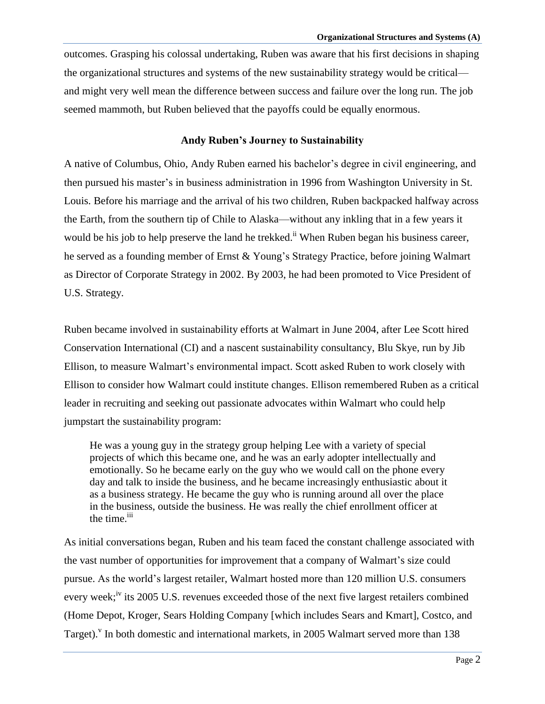outcomes. Grasping his colossal undertaking, Ruben was aware that his first decisions in shaping the organizational structures and systems of the new sustainability strategy would be critical and might very well mean the difference between success and failure over the long run. The job seemed mammoth, but Ruben believed that the payoffs could be equally enormous.

#### **Andy Ruben's Journey to Sustainability**

A native of Columbus, Ohio, Andy Ruben earned his bachelor's degree in civil engineering, and then pursued his master's in business administration in 1996 from Washington University in St. Louis. Before his marriage and the arrival of his two children, Ruben backpacked halfway across the Earth, from the southern tip of Chile to Alaska—without any inkling that in a few years it would be his job to help preserve the land he trekked.<sup>ii</sup> When Ruben began his business career, he served as a founding member of Ernst & Young's Strategy Practice, before joining Walmart as Director of Corporate Strategy in 2002. By 2003, he had been promoted to Vice President of U.S. Strategy.

Ruben became involved in sustainability efforts at Walmart in June 2004, after Lee Scott hired Conservation International (CI) and a nascent sustainability consultancy, Blu Skye, run by Jib Ellison, to measure Walmart's environmental impact. Scott asked Ruben to work closely with Ellison to consider how Walmart could institute changes. Ellison remembered Ruben as a critical leader in recruiting and seeking out passionate advocates within Walmart who could help jumpstart the sustainability program:

He was a young guy in the strategy group helping Lee with a variety of special projects of which this became one, and he was an early adopter intellectually and emotionally. So he became early on the guy who we would call on the phone every day and talk to inside the business, and he became increasingly enthusiastic about it as a business strategy. He became the guy who is running around all over the place in the business, outside the business. He was really the chief enrollment officer at the time.<sup>iii</sup>

As initial conversations began, Ruben and his team faced the constant challenge associated with the vast number of opportunities for improvement that a company of Walmart's size could pursue. As the world's largest retailer, Walmart hosted more than 120 million U.S. consumers every week;<sup>iv</sup> its 2005 U.S. revenues exceeded those of the next five largest retailers combined (Home Depot, Kroger, Sears Holding Company [which includes Sears and Kmart], Costco, and Target). In both domestic and international markets, in 2005 Walmart served more than 138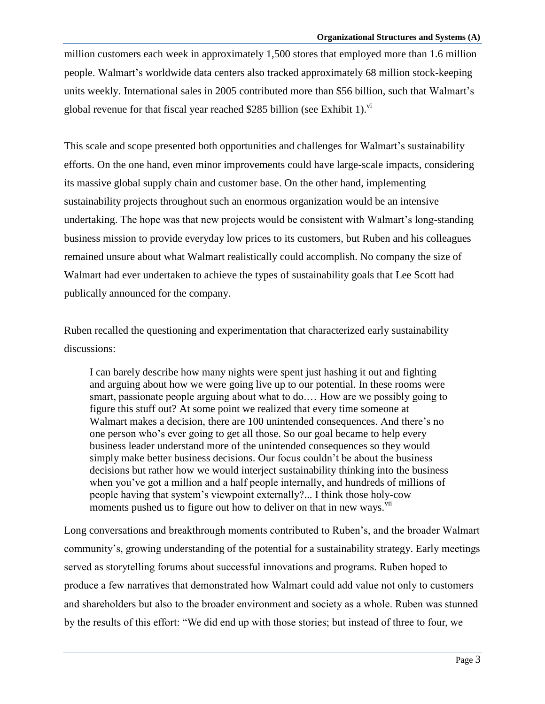million customers each week in approximately 1,500 stores that employed more than 1.6 million people. Walmart's worldwide data centers also tracked approximately 68 million stock-keeping units weekly. International sales in 2005 contributed more than \$56 billion, such that Walmart's global revenue for that fiscal year reached \$285 billion (see Exhibit 1). $\mathrm{v}^i$ 

This scale and scope presented both opportunities and challenges for Walmart's sustainability efforts. On the one hand, even minor improvements could have large-scale impacts, considering its massive global supply chain and customer base. On the other hand, implementing sustainability projects throughout such an enormous organization would be an intensive undertaking. The hope was that new projects would be consistent with Walmart's long-standing business mission to provide everyday low prices to its customers, but Ruben and his colleagues remained unsure about what Walmart realistically could accomplish. No company the size of Walmart had ever undertaken to achieve the types of sustainability goals that Lee Scott had publically announced for the company.

Ruben recalled the questioning and experimentation that characterized early sustainability discussions:

I can barely describe how many nights were spent just hashing it out and fighting and arguing about how we were going live up to our potential. In these rooms were smart, passionate people arguing about what to do.… How are we possibly going to figure this stuff out? At some point we realized that every time someone at Walmart makes a decision, there are 100 unintended consequences. And there's no one person who's ever going to get all those. So our goal became to help every business leader understand more of the unintended consequences so they would simply make better business decisions. Our focus couldn't be about the business decisions but rather how we would interject sustainability thinking into the business when you've got a million and a half people internally, and hundreds of millions of people having that system's viewpoint externally?... I think those holy-cow moments pushed us to figure out how to deliver on that in new ways.<sup>vii</sup>

Long conversations and breakthrough moments contributed to Ruben's, and the broader Walmart community's, growing understanding of the potential for a sustainability strategy. Early meetings served as storytelling forums about successful innovations and programs. Ruben hoped to produce a few narratives that demonstrated how Walmart could add value not only to customers and shareholders but also to the broader environment and society as a whole. Ruben was stunned by the results of this effort: "We did end up with those stories; but instead of three to four, we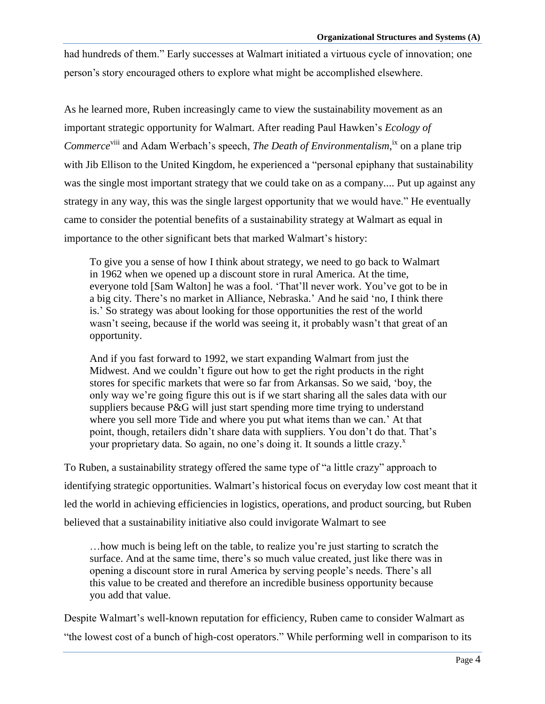had hundreds of them." Early successes at Walmart initiated a virtuous cycle of innovation; one person's story encouraged others to explore what might be accomplished elsewhere.

As he learned more, Ruben increasingly came to view the sustainability movement as an important strategic opportunity for Walmart. After reading Paul Hawken's *Ecology of*  Commerce<sup>viii</sup> and Adam Werbach's speech, *The Death of Environmentalism*,<sup>ix</sup> on a plane trip with Jib Ellison to the United Kingdom, he experienced a "personal epiphany that sustainability was the single most important strategy that we could take on as a company.... Put up against any strategy in any way, this was the single largest opportunity that we would have." He eventually came to consider the potential benefits of a sustainability strategy at Walmart as equal in importance to the other significant bets that marked Walmart's history:

To give you a sense of how I think about strategy, we need to go back to Walmart in 1962 when we opened up a discount store in rural America. At the time, everyone told [Sam Walton] he was a fool. 'That'll never work. You've got to be in a big city. There's no market in Alliance, Nebraska.' And he said 'no, I think there is.' So strategy was about looking for those opportunities the rest of the world wasn't seeing, because if the world was seeing it, it probably wasn't that great of an opportunity.

And if you fast forward to 1992, we start expanding Walmart from just the Midwest. And we couldn't figure out how to get the right products in the right stores for specific markets that were so far from Arkansas. So we said, 'boy, the only way we're going figure this out is if we start sharing all the sales data with our suppliers because P&G will just start spending more time trying to understand where you sell more Tide and where you put what items than we can.' At that point, though, retailers didn't share data with suppliers. You don't do that. That's your proprietary data. So again, no one's doing it. It sounds a little crazy.<sup>x</sup>

To Ruben, a sustainability strategy offered the same type of "a little crazy" approach to identifying strategic opportunities. Walmart's historical focus on everyday low cost meant that it led the world in achieving efficiencies in logistics, operations, and product sourcing, but Ruben believed that a sustainability initiative also could invigorate Walmart to see

…how much is being left on the table, to realize you're just starting to scratch the surface. And at the same time, there's so much value created, just like there was in opening a discount store in rural America by serving people's needs. There's all this value to be created and therefore an incredible business opportunity because you add that value.

Despite Walmart's well-known reputation for efficiency, Ruben came to consider Walmart as "the lowest cost of a bunch of high-cost operators." While performing well in comparison to its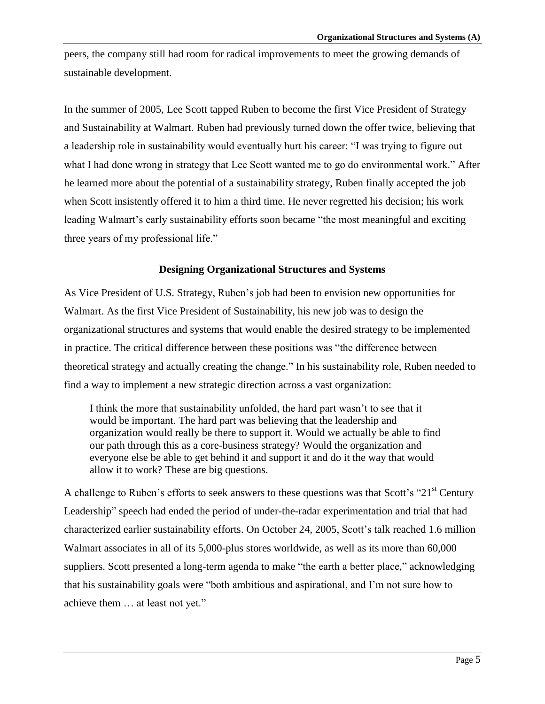peers, the company still had room for radical improvements to meet the growing demands of sustainable development.

In the summer of 2005, Lee Scott tapped Ruben to become the first Vice President of Strategy and Sustainability at Walmart. Ruben had previously turned down the offer twice, believing that a leadership role in sustainability would eventually hurt his career: "I was trying to figure out what I had done wrong in strategy that Lee Scott wanted me to go do environmental work." After he learned more about the potential of a sustainability strategy, Ruben finally accepted the job when Scott insistently offered it to him a third time. He never regretted his decision; his work leading Walmart's early sustainability efforts soon became "the most meaningful and exciting three years of my professional life."

#### **Designing Organizational Structures and Systems**

As Vice President of U.S. Strategy, Ruben's job had been to envision new opportunities for Walmart. As the first Vice President of Sustainability, his new job was to design the organizational structures and systems that would enable the desired strategy to be implemented in practice. The critical difference between these positions was "the difference between theoretical strategy and actually creating the change." In his sustainability role, Ruben needed to find a way to implement a new strategic direction across a vast organization:

I think the more that sustainability unfolded, the hard part wasn't to see that it would be important. The hard part was believing that the leadership and organization would really be there to support it. Would we actually be able to find our path through this as a core-business strategy? Would the organization and everyone else be able to get behind it and support it and do it the way that would allow it to work? These are big questions.

A challenge to Ruben's efforts to seek answers to these questions was that Scott's " $21<sup>st</sup>$  Century Leadership" speech had ended the period of under-the-radar experimentation and trial that had characterized earlier sustainability efforts. On October 24, 2005, Scott's talk reached 1.6 million Walmart associates in all of its 5,000-plus stores worldwide, as well as its more than 60,000 suppliers. Scott presented a long-term agenda to make "the earth a better place," acknowledging that his sustainability goals were "both ambitious and aspirational, and I'm not sure how to achieve them ... at least not yet."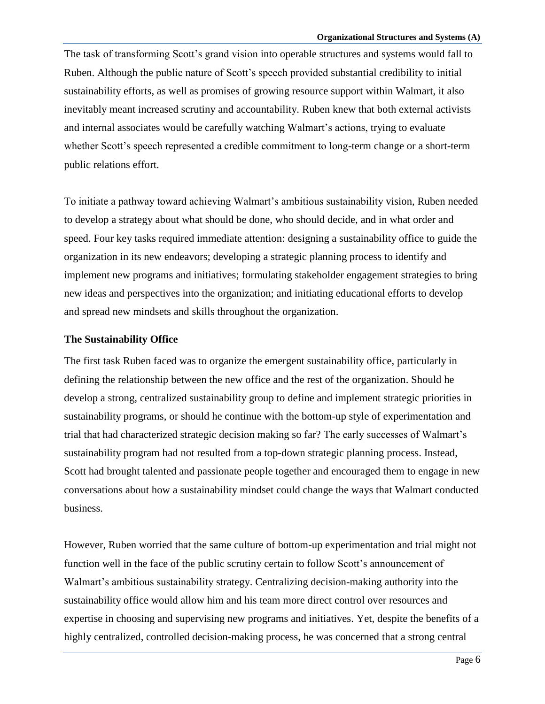The task of transforming Scott's grand vision into operable structures and systems would fall to Ruben. Although the public nature of Scott's speech provided substantial credibility to initial sustainability efforts, as well as promises of growing resource support within Walmart, it also inevitably meant increased scrutiny and accountability. Ruben knew that both external activists and internal associates would be carefully watching Walmart's actions, trying to evaluate whether Scott's speech represented a credible commitment to long-term change or a short-term public relations effort.

To initiate a pathway toward achieving Walmart's ambitious sustainability vision, Ruben needed to develop a strategy about what should be done, who should decide, and in what order and speed. Four key tasks required immediate attention: designing a sustainability office to guide the organization in its new endeavors; developing a strategic planning process to identify and implement new programs and initiatives; formulating stakeholder engagement strategies to bring new ideas and perspectives into the organization; and initiating educational efforts to develop and spread new mindsets and skills throughout the organization.

#### **The Sustainability Office**

The first task Ruben faced was to organize the emergent sustainability office, particularly in defining the relationship between the new office and the rest of the organization. Should he develop a strong, centralized sustainability group to define and implement strategic priorities in sustainability programs, or should he continue with the bottom-up style of experimentation and trial that had characterized strategic decision making so far? The early successes of Walmart's sustainability program had not resulted from a top-down strategic planning process. Instead, Scott had brought talented and passionate people together and encouraged them to engage in new conversations about how a sustainability mindset could change the ways that Walmart conducted business.

However, Ruben worried that the same culture of bottom-up experimentation and trial might not function well in the face of the public scrutiny certain to follow Scott's announcement of Walmart's ambitious sustainability strategy. Centralizing decision-making authority into the sustainability office would allow him and his team more direct control over resources and expertise in choosing and supervising new programs and initiatives. Yet, despite the benefits of a highly centralized, controlled decision-making process, he was concerned that a strong central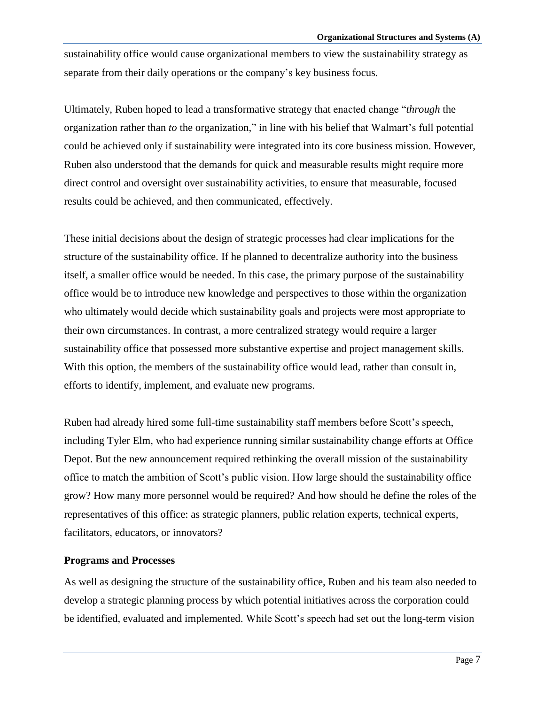sustainability office would cause organizational members to view the sustainability strategy as separate from their daily operations or the company's key business focus.

Ultimately, Ruben hoped to lead a transformative strategy that enacted change ―*through* the organization rather than *to* the organization," in line with his belief that Walmart's full potential could be achieved only if sustainability were integrated into its core business mission. However, Ruben also understood that the demands for quick and measurable results might require more direct control and oversight over sustainability activities, to ensure that measurable, focused results could be achieved, and then communicated, effectively.

These initial decisions about the design of strategic processes had clear implications for the structure of the sustainability office. If he planned to decentralize authority into the business itself, a smaller office would be needed. In this case, the primary purpose of the sustainability office would be to introduce new knowledge and perspectives to those within the organization who ultimately would decide which sustainability goals and projects were most appropriate to their own circumstances. In contrast, a more centralized strategy would require a larger sustainability office that possessed more substantive expertise and project management skills. With this option, the members of the sustainability office would lead, rather than consult in, efforts to identify, implement, and evaluate new programs.

Ruben had already hired some full-time sustainability staff members before Scott's speech, including Tyler Elm, who had experience running similar sustainability change efforts at Office Depot. But the new announcement required rethinking the overall mission of the sustainability office to match the ambition of Scott's public vision. How large should the sustainability office grow? How many more personnel would be required? And how should he define the roles of the representatives of this office: as strategic planners, public relation experts, technical experts, facilitators, educators, or innovators?

#### **Programs and Processes**

As well as designing the structure of the sustainability office, Ruben and his team also needed to develop a strategic planning process by which potential initiatives across the corporation could be identified, evaluated and implemented. While Scott's speech had set out the long-term vision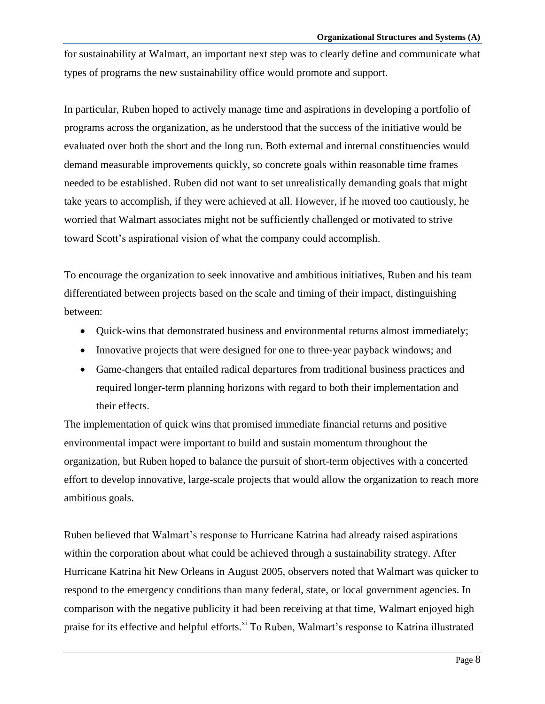for sustainability at Walmart, an important next step was to clearly define and communicate what types of programs the new sustainability office would promote and support.

In particular, Ruben hoped to actively manage time and aspirations in developing a portfolio of programs across the organization, as he understood that the success of the initiative would be evaluated over both the short and the long run. Both external and internal constituencies would demand measurable improvements quickly, so concrete goals within reasonable time frames needed to be established. Ruben did not want to set unrealistically demanding goals that might take years to accomplish, if they were achieved at all. However, if he moved too cautiously, he worried that Walmart associates might not be sufficiently challenged or motivated to strive toward Scott's aspirational vision of what the company could accomplish.

To encourage the organization to seek innovative and ambitious initiatives, Ruben and his team differentiated between projects based on the scale and timing of their impact, distinguishing between:

- Quick-wins that demonstrated business and environmental returns almost immediately;
- Innovative projects that were designed for one to three-year payback windows; and
- Game-changers that entailed radical departures from traditional business practices and required longer-term planning horizons with regard to both their implementation and their effects.

The implementation of quick wins that promised immediate financial returns and positive environmental impact were important to build and sustain momentum throughout the organization, but Ruben hoped to balance the pursuit of short-term objectives with a concerted effort to develop innovative, large-scale projects that would allow the organization to reach more ambitious goals.

Ruben believed that Walmart's response to Hurricane Katrina had already raised aspirations within the corporation about what could be achieved through a sustainability strategy. After Hurricane Katrina hit New Orleans in August 2005, observers noted that Walmart was quicker to respond to the emergency conditions than many federal, state, or local government agencies. In comparison with the negative publicity it had been receiving at that time, Walmart enjoyed high praise for its effective and helpful efforts.<sup>xi</sup> To Ruben, Walmart's response to Katrina illustrated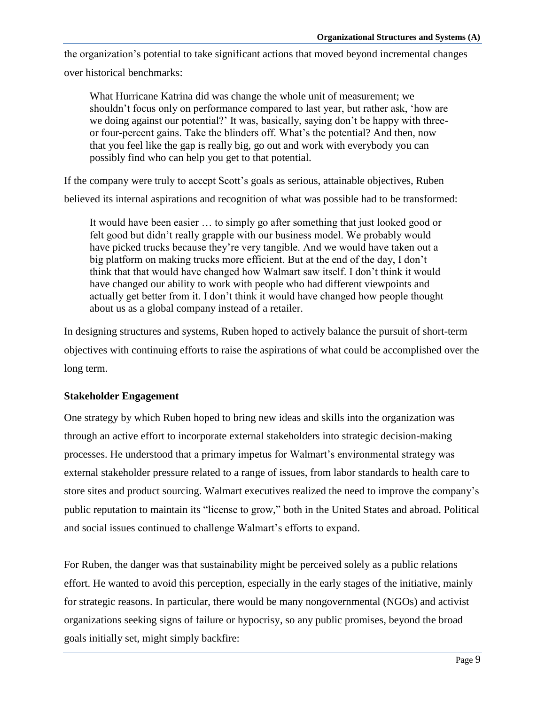the organization's potential to take significant actions that moved beyond incremental changes

over historical benchmarks:

What Hurricane Katrina did was change the whole unit of measurement; we shouldn't focus only on performance compared to last year, but rather ask, 'how are we doing against our potential?' It was, basically, saying don't be happy with threeor four-percent gains. Take the blinders off. What's the potential? And then, now that you feel like the gap is really big, go out and work with everybody you can possibly find who can help you get to that potential.

If the company were truly to accept Scott's goals as serious, attainable objectives, Ruben

believed its internal aspirations and recognition of what was possible had to be transformed:

It would have been easier … to simply go after something that just looked good or felt good but didn't really grapple with our business model. We probably would have picked trucks because they're very tangible. And we would have taken out a big platform on making trucks more efficient. But at the end of the day, I don't think that that would have changed how Walmart saw itself. I don't think it would have changed our ability to work with people who had different viewpoints and actually get better from it. I don't think it would have changed how people thought about us as a global company instead of a retailer.

In designing structures and systems, Ruben hoped to actively balance the pursuit of short-term objectives with continuing efforts to raise the aspirations of what could be accomplished over the long term.

#### **Stakeholder Engagement**

One strategy by which Ruben hoped to bring new ideas and skills into the organization was through an active effort to incorporate external stakeholders into strategic decision-making processes. He understood that a primary impetus for Walmart's environmental strategy was external stakeholder pressure related to a range of issues, from labor standards to health care to store sites and product sourcing. Walmart executives realized the need to improve the company's public reputation to maintain its "license to grow," both in the United States and abroad. Political and social issues continued to challenge Walmart's efforts to expand.

For Ruben, the danger was that sustainability might be perceived solely as a public relations effort. He wanted to avoid this perception, especially in the early stages of the initiative, mainly for strategic reasons. In particular, there would be many nongovernmental (NGOs) and activist organizations seeking signs of failure or hypocrisy, so any public promises, beyond the broad goals initially set, might simply backfire: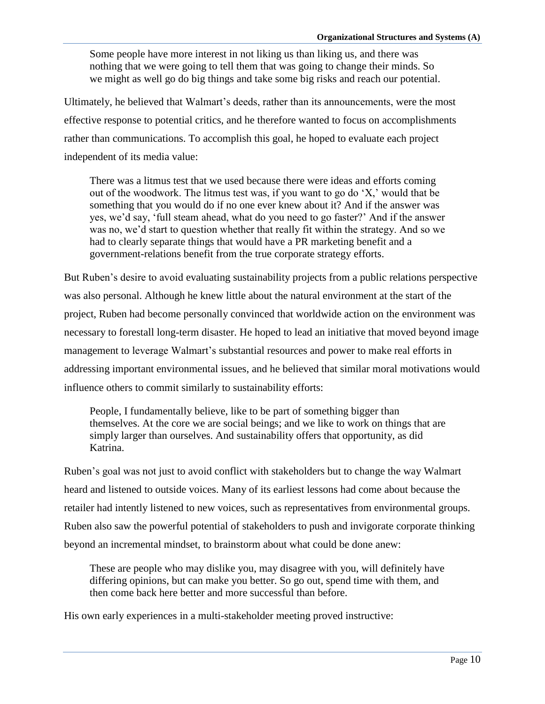Some people have more interest in not liking us than liking us, and there was nothing that we were going to tell them that was going to change their minds. So we might as well go do big things and take some big risks and reach our potential.

Ultimately, he believed that Walmart's deeds, rather than its announcements, were the most effective response to potential critics, and he therefore wanted to focus on accomplishments rather than communications. To accomplish this goal, he hoped to evaluate each project independent of its media value:

There was a litmus test that we used because there were ideas and efforts coming out of the woodwork. The litmus test was, if you want to go do  $X$ ,' would that be something that you would do if no one ever knew about it? And if the answer was yes, we'd say, ‗full steam ahead, what do you need to go faster?' And if the answer was no, we'd start to question whether that really fit within the strategy. And so we had to clearly separate things that would have a PR marketing benefit and a government-relations benefit from the true corporate strategy efforts.

But Ruben's desire to avoid evaluating sustainability projects from a public relations perspective was also personal. Although he knew little about the natural environment at the start of the project, Ruben had become personally convinced that worldwide action on the environment was necessary to forestall long-term disaster. He hoped to lead an initiative that moved beyond image management to leverage Walmart's substantial resources and power to make real efforts in addressing important environmental issues, and he believed that similar moral motivations would influence others to commit similarly to sustainability efforts:

People, I fundamentally believe, like to be part of something bigger than themselves. At the core we are social beings; and we like to work on things that are simply larger than ourselves. And sustainability offers that opportunity, as did Katrina.

Ruben's goal was not just to avoid conflict with stakeholders but to change the way Walmart heard and listened to outside voices. Many of its earliest lessons had come about because the retailer had intently listened to new voices, such as representatives from environmental groups. Ruben also saw the powerful potential of stakeholders to push and invigorate corporate thinking beyond an incremental mindset, to brainstorm about what could be done anew:

These are people who may dislike you, may disagree with you, will definitely have differing opinions, but can make you better. So go out, spend time with them, and then come back here better and more successful than before.

His own early experiences in a multi-stakeholder meeting proved instructive: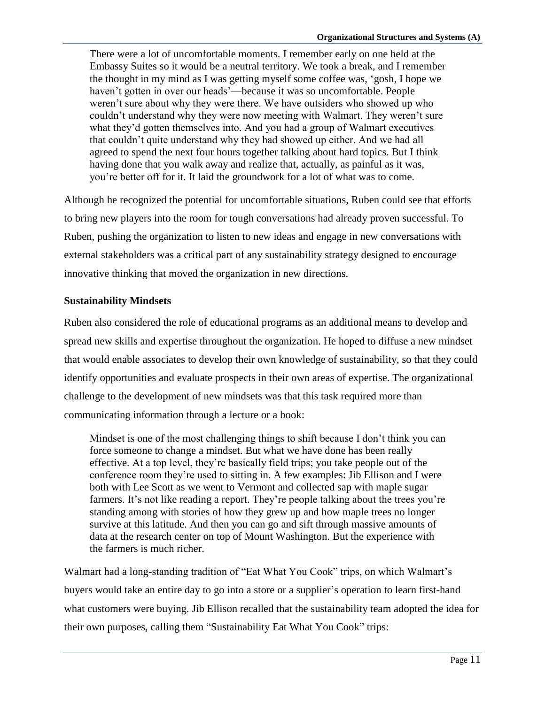There were a lot of uncomfortable moments. I remember early on one held at the Embassy Suites so it would be a neutral territory. We took a break, and I remember the thought in my mind as I was getting myself some coffee was, ‗gosh, I hope we haven't gotten in over our heads'—because it was so uncomfortable. People weren't sure about why they were there. We have outsiders who showed up who couldn't understand why they were now meeting with Walmart. They weren't sure what they'd gotten themselves into. And you had a group of Walmart executives that couldn't quite understand why they had showed up either. And we had all agreed to spend the next four hours together talking about hard topics. But I think having done that you walk away and realize that, actually, as painful as it was, you're better off for it. It laid the groundwork for a lot of what was to come.

Although he recognized the potential for uncomfortable situations, Ruben could see that efforts to bring new players into the room for tough conversations had already proven successful. To Ruben, pushing the organization to listen to new ideas and engage in new conversations with external stakeholders was a critical part of any sustainability strategy designed to encourage innovative thinking that moved the organization in new directions.

#### **Sustainability Mindsets**

Ruben also considered the role of educational programs as an additional means to develop and spread new skills and expertise throughout the organization. He hoped to diffuse a new mindset that would enable associates to develop their own knowledge of sustainability, so that they could identify opportunities and evaluate prospects in their own areas of expertise. The organizational challenge to the development of new mindsets was that this task required more than communicating information through a lecture or a book:

Mindset is one of the most challenging things to shift because I don't think you can force someone to change a mindset. But what we have done has been really effective. At a top level, they're basically field trips; you take people out of the conference room they're used to sitting in. A few examples: Jib Ellison and I were both with Lee Scott as we went to Vermont and collected sap with maple sugar farmers. It's not like reading a report. They're people talking about the trees you're standing among with stories of how they grew up and how maple trees no longer survive at this latitude. And then you can go and sift through massive amounts of data at the research center on top of Mount Washington. But the experience with the farmers is much richer.

Walmart had a long-standing tradition of "Eat What You Cook" trips, on which Walmart's buyers would take an entire day to go into a store or a supplier's operation to learn first-hand what customers were buying. Jib Ellison recalled that the sustainability team adopted the idea for their own purposes, calling them "Sustainability Eat What You Cook" trips: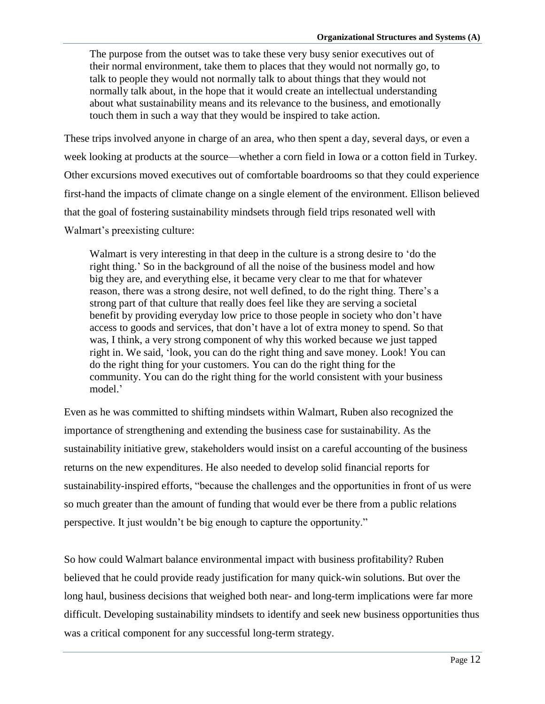The purpose from the outset was to take these very busy senior executives out of their normal environment, take them to places that they would not normally go, to talk to people they would not normally talk to about things that they would not normally talk about, in the hope that it would create an intellectual understanding about what sustainability means and its relevance to the business, and emotionally touch them in such a way that they would be inspired to take action.

These trips involved anyone in charge of an area, who then spent a day, several days, or even a week looking at products at the source—whether a corn field in Iowa or a cotton field in Turkey. Other excursions moved executives out of comfortable boardrooms so that they could experience first-hand the impacts of climate change on a single element of the environment. Ellison believed that the goal of fostering sustainability mindsets through field trips resonated well with Walmart's preexisting culture:

Walmart is very interesting in that deep in the culture is a strong desire to 'do the right thing.' So in the background of all the noise of the business model and how big they are, and everything else, it became very clear to me that for whatever reason, there was a strong desire, not well defined, to do the right thing. There's a strong part of that culture that really does feel like they are serving a societal benefit by providing everyday low price to those people in society who don't have access to goods and services, that don't have a lot of extra money to spend. So that was, I think, a very strong component of why this worked because we just tapped right in. We said, ‗look, you can do the right thing and save money. Look! You can do the right thing for your customers. You can do the right thing for the community. You can do the right thing for the world consistent with your business model.'

Even as he was committed to shifting mindsets within Walmart, Ruben also recognized the importance of strengthening and extending the business case for sustainability. As the sustainability initiative grew, stakeholders would insist on a careful accounting of the business returns on the new expenditures. He also needed to develop solid financial reports for sustainability-inspired efforts, "because the challenges and the opportunities in front of us were so much greater than the amount of funding that would ever be there from a public relations perspective. It just wouldn't be big enough to capture the opportunity."

So how could Walmart balance environmental impact with business profitability? Ruben believed that he could provide ready justification for many quick-win solutions. But over the long haul, business decisions that weighed both near- and long-term implications were far more difficult. Developing sustainability mindsets to identify and seek new business opportunities thus was a critical component for any successful long-term strategy.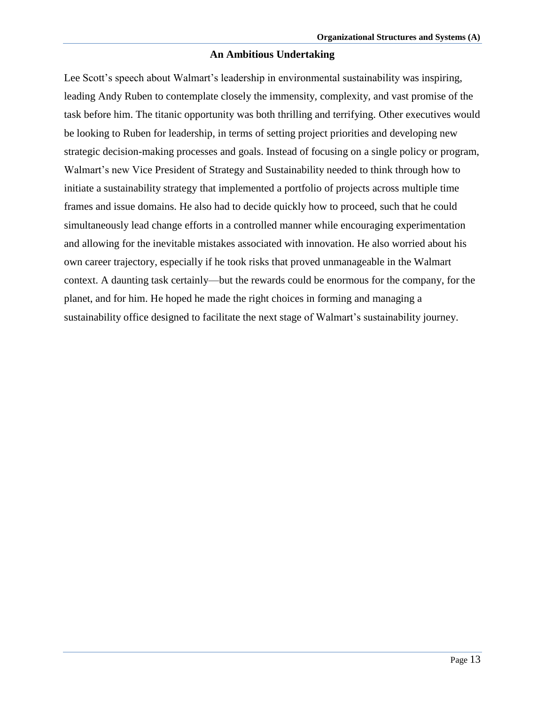#### **An Ambitious Undertaking**

Lee Scott's speech about Walmart's leadership in environmental sustainability was inspiring, leading Andy Ruben to contemplate closely the immensity, complexity, and vast promise of the task before him. The titanic opportunity was both thrilling and terrifying. Other executives would be looking to Ruben for leadership, in terms of setting project priorities and developing new strategic decision-making processes and goals. Instead of focusing on a single policy or program, Walmart's new Vice President of Strategy and Sustainability needed to think through how to initiate a sustainability strategy that implemented a portfolio of projects across multiple time frames and issue domains. He also had to decide quickly how to proceed, such that he could simultaneously lead change efforts in a controlled manner while encouraging experimentation and allowing for the inevitable mistakes associated with innovation. He also worried about his own career trajectory, especially if he took risks that proved unmanageable in the Walmart context. A daunting task certainly—but the rewards could be enormous for the company, for the planet, and for him. He hoped he made the right choices in forming and managing a sustainability office designed to facilitate the next stage of Walmart's sustainability journey.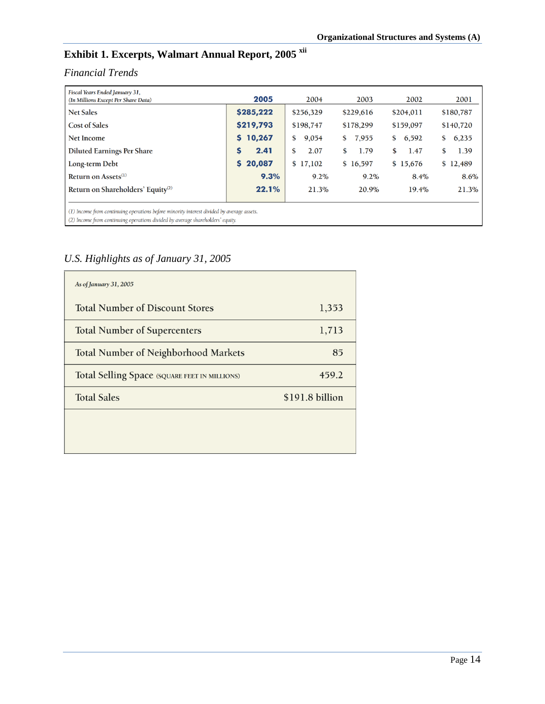# **Exhibit 1. Excerpts, Walmart Annual Report, 2005 xii**

### *Financial Trends*

| Fiscal Years Ended January 31,<br>(In Millions Except Per Share Data)                     | 2005      | 2004        | 2003        | 2002        | 2001        |
|-------------------------------------------------------------------------------------------|-----------|-------------|-------------|-------------|-------------|
| <b>Net Sales</b>                                                                          | \$285,222 | \$256,329   | \$229,616   | \$204,011   | \$180,787   |
| <b>Cost of Sales</b>                                                                      | \$219,793 | \$198,747   | \$178,299   | \$159,097   | \$140,720   |
| <b>Net Income</b>                                                                         | 5 10,267  | 9,054<br>\$ | 7,955<br>\$ | 6,592<br>\$ | 6,235<br>\$ |
| <b>Diluted Earnings Per Share</b>                                                         | 2.41      | 2.07<br>\$  | 1.79<br>\$  | 1.47<br>\$  | 1.39<br>\$  |
| Long-term Debt                                                                            | \$20,087  | \$17,102    | \$16,597    | \$15,676    | \$12,489    |
| Return on Assets $^{(1)}$                                                                 | 9.3%      | 9.2%        | $9.2\%$     | 8.4%        | 8.6%        |
| Return on Shareholders' Equity <sup>(2)</sup>                                             | 22.1%     | 21.3%       | 20.9%       | 19.4%       | 21.3%       |
| (1) Income from continuing operations before minority interest divided by average assets. |           |             |             |             |             |

(2) Income from continuing operations divided by average shareholders' equity.

## *U.S. Highlights as of January 31, 2005*

| As of January 31, 2005                        |                 |  |  |
|-----------------------------------------------|-----------------|--|--|
| <b>Total Number of Discount Stores</b>        | 1,353           |  |  |
| <b>Total Number of Supercenters</b>           | 1,713           |  |  |
| <b>Total Number of Neighborhood Markets</b>   | 85              |  |  |
| Total Selling Space (SQUARE FEET IN MILLIONS) | 459.2           |  |  |
| <b>Total Sales</b>                            | \$191.8 billion |  |  |
|                                               |                 |  |  |
|                                               |                 |  |  |